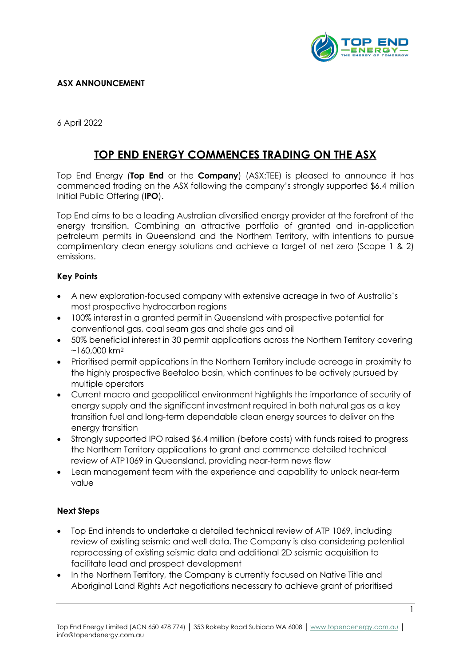

## **ASX ANNOUNCEMENT**

6 April 2022

## **TOP END ENERGY COMMENCES TRADING ON THE ASX**

Top End Energy (**Top End** or the **Company**) (ASX:TEE) is pleased to announce it has commenced trading on the ASX following the company's strongly supported \$6.4 million Initial Public Offering (**IPO**).

Top End aims to be a leading Australian diversified energy provider at the forefront of the energy transition. Combining an attractive portfolio of granted and in-application petroleum permits in Queensland and the Northern Territory, with intentions to pursue complimentary clean energy solutions and achieve a target of net zero (Scope 1 & 2) emissions.

## **Key Points**

- A new exploration-focused company with extensive acreage in two of Australia's most prospective hydrocarbon regions
- 100% interest in a granted permit in Queensland with prospective potential for conventional gas, coal seam gas and shale gas and oil
- 50% beneficial interest in 30 permit applications across the Northern Territory covering  $~160,000$  km<sup>2</sup>
- Prioritised permit applications in the Northern Territory include acreage in proximity to the highly prospective Beetaloo basin, which continues to be actively pursued by multiple operators
- Current macro and geopolitical environment highlights the importance of security of energy supply and the significant investment required in both natural gas as a key transition fuel and long-term dependable clean energy sources to deliver on the energy transition
- Strongly supported IPO raised \$6.4 million (before costs) with funds raised to progress the Northern Territory applications to grant and commence detailed technical review of ATP1069 in Queensland, providing near-term news flow
- Lean management team with the experience and capability to unlock near-term value

## **Next Steps**

- Top End intends to undertake a detailed technical review of ATP 1069, including review of existing seismic and well data. The Company is also considering potential reprocessing of existing seismic data and additional 2D seismic acquisition to facilitate lead and prospect development
- In the Northern Territory, the Company is currently focused on Native Title and Aboriginal Land Rights Act negotiations necessary to achieve grant of prioritised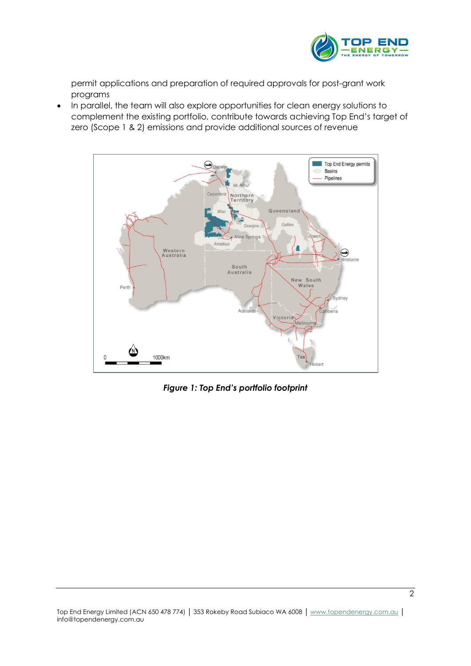

permit applications and preparation of required approvals for post-grant work programs

• In parallel, the team will also explore opportunities for clean energy solutions to complement the existing portfolio, contribute towards achieving Top End's target of zero (Scope 1 & 2) emissions and provide additional sources of revenue



*Figure 1: Top End's portfolio footprint*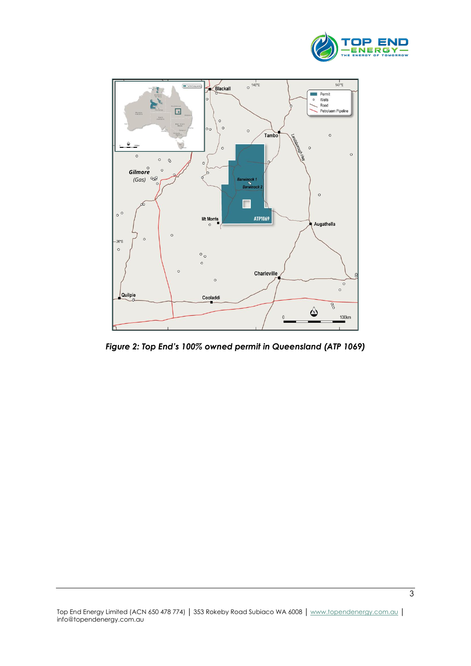



*Figure 2: Top End's 100% owned permit in Queensland (ATP 1069)*

 $\overline{3}$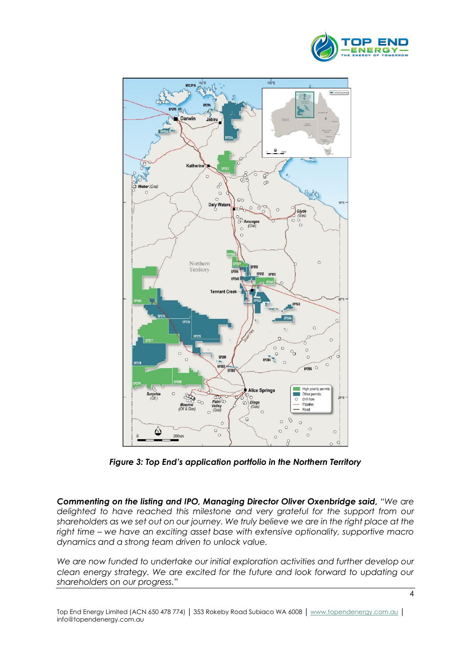



*Figure 3: Top End's application portfolio in the Northern Territory*

*Commenting on the listing and IPO, Managing Director Oliver Oxenbridge said, "We are delighted to have reached this milestone and very grateful for the support from our shareholders as we set out on our journey. We truly believe we are in the right place at the right time – we have an exciting asset base with extensive optionality, supportive macro dynamics and a strong team driven to unlock value.*

*We are now funded to undertake our initial exploration activities and further develop our clean energy strategy. We are excited for the future and look forward to updating our shareholders on our progress."*